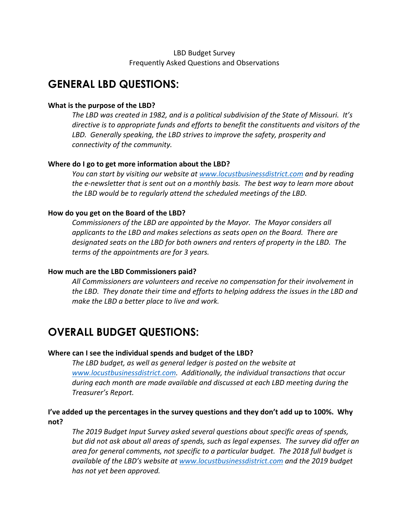# LBD Budget Survey Frequently Asked Questions and Observations

# **GENERAL LBD QUESTIONS:**

#### **What is the purpose of the LBD?**

*The LBD was created in 1982, and is a political subdivision of the State of Missouri. It's directive is to appropriate funds and efforts to benefit the constituents and visitors of the LBD. Generally speaking, the LBD strives to improve the safety, prosperity and connectivity of the community.*

#### **Where do I go to get more information about the LBD?**

*You can start by visiting our website at www.locustbusinessdistrict.com and by reading the e-newsletter that is sent out on a monthly basis. The best way to learn more about the LBD would be to regularly attend the scheduled meetings of the LBD.* 

#### **How do you get on the Board of the LBD?**

*Commissioners of the LBD are appointed by the Mayor. The Mayor considers all applicants to the LBD and makes selections as seats open on the Board. There are designated seats on the LBD for both owners and renters of property in the LBD. The terms of the appointments are for 3 years.*

#### **How much are the LBD Commissioners paid?**

*All Commissioners are volunteers and receive no compensation for their involvement in the LBD. They donate their time and efforts to helping address the issues in the LBD and make the LBD a better place to live and work.*

# **OVERALL BUDGET QUESTIONS:**

#### **Where can I see the individual spends and budget of the LBD?**

*The LBD budget, as well as general ledger is posted on the website at www.locustbusinessdistrict.com. Additionally, the individual transactions that occur during each month are made available and discussed at each LBD meeting during the Treasurer's Report.*

# **I've added up the percentages in the survey questions and they don't add up to 100%. Why not?**

*The 2019 Budget Input Survey asked several questions about specific areas of spends, but did not ask about all areas of spends, such as legal expenses. The survey did offer an area for general comments, not specific to a particular budget. The 2018 full budget is available of the LBD's website at www.locustbusinessdistrict.com and the 2019 budget has not yet been approved.*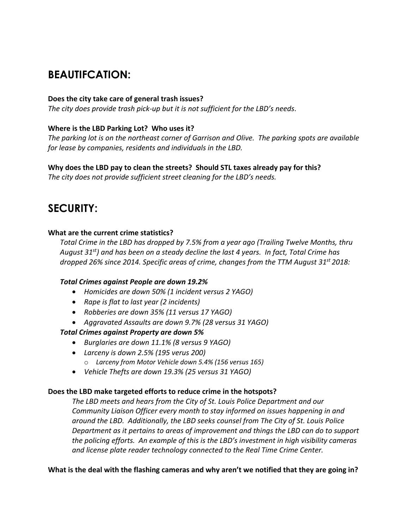# **BEAUTIFCATION:**

# **Does the city take care of general trash issues?**

*The city does provide trash pick-up but it is not sufficient for the LBD's needs*.

# **Where is the LBD Parking Lot? Who uses it?**

*The parking lot is on the northeast corner of Garrison and Olive. The parking spots are available for lease by companies, residents and individuals in the LBD.*

# **Why does the LBD pay to clean the streets? Should STL taxes already pay for this?**

*The city does not provide sufficient street cleaning for the LBD's needs.* 

# **SECURITY:**

# **What are the current crime statistics?**

*Total Crime in the LBD has dropped by 7.5% from a year ago (Trailing Twelve Months, thru August 31st) and has been on a steady decline the last 4 years. In fact, Total Crime has dropped 26% since 2014. Specific areas of crime, changes from the TTM August 31st 2018:*

# *Total Crimes against People are down 19.2%*

- *Homicides are down 50% (1 incident versus 2 YAGO)*
- *Rape is flat to last year (2 incidents)*
- *Robberies are down 35% (11 versus 17 YAGO)*
- *Aggravated Assaults are down 9.7% (28 versus 31 YAGO)*

# *Total Crimes against Property are down 5%*

- *Burglaries are down 11.1% (8 versus 9 YAGO)*
- *Larceny is down 2.5% (195 verus 200)* o *Larceny from Motor Vehicle down 5.4% (156 versus 165)*
- *Vehicle Thefts are down 19.3% (25 versus 31 YAGO)*

# **Does the LBD make targeted efforts to reduce crime in the hotspots?**

*The LBD meets and hears from the City of St. Louis Police Department and our Community Liaison Officer every month to stay informed on issues happening in and around the LBD. Additionally, the LBD seeks counsel from The City of St. Louis Police Department as it pertains to areas of improvement and things the LBD can do to support the policing efforts. An example of this is the LBD's investment in high visibility cameras and license plate reader technology connected to the Real Time Crime Center.*

# **What is the deal with the flashing cameras and why aren't we notified that they are going in?**